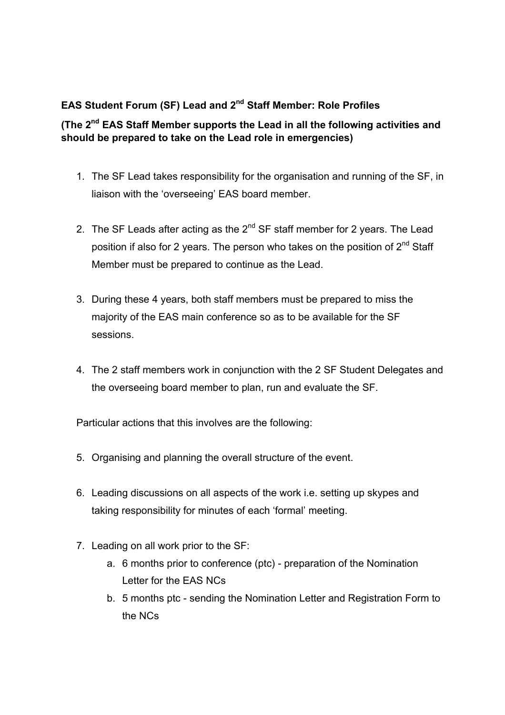## **EAS Student Forum (SF) Lead and 2nd Staff Member: Role Profiles**

## **(The 2nd EAS Staff Member supports the Lead in all the following activities and should be prepared to take on the Lead role in emergencies)**

- 1. The SF Lead takes responsibility for the organisation and running of the SF, in liaison with the 'overseeing' EAS board member.
- 2. The SF Leads after acting as the  $2^{nd}$  SF staff member for 2 years. The Lead position if also for 2 years. The person who takes on the position of 2<sup>nd</sup> Staff Member must be prepared to continue as the Lead.
- 3. During these 4 years, both staff members must be prepared to miss the majority of the EAS main conference so as to be available for the SF sessions.
- 4. The 2 staff members work in conjunction with the 2 SF Student Delegates and the overseeing board member to plan, run and evaluate the SF.

Particular actions that this involves are the following:

- 5. Organising and planning the overall structure of the event.
- 6. Leading discussions on all aspects of the work i.e. setting up skypes and taking responsibility for minutes of each 'formal' meeting.
- 7. Leading on all work prior to the SF:
	- a. 6 months prior to conference (ptc) preparation of the Nomination Letter for the EAS NCs
	- b. 5 months ptc sending the Nomination Letter and Registration Form to the NCs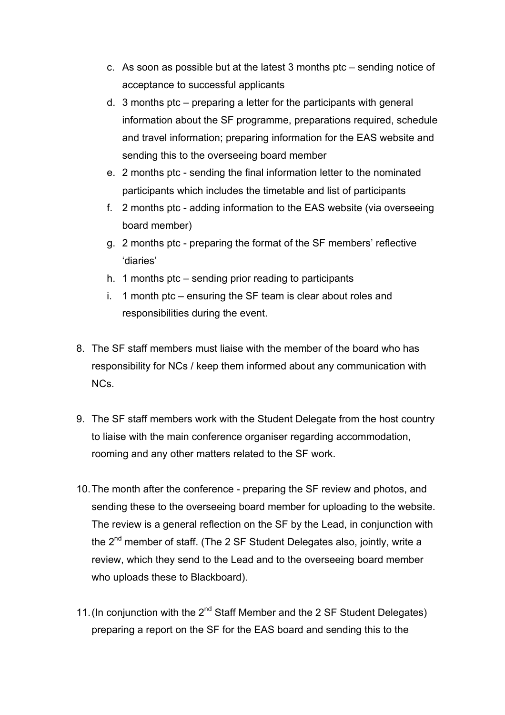- c. As soon as possible but at the latest 3 months ptc sending notice of acceptance to successful applicants
- d. 3 months ptc preparing a letter for the participants with general information about the SF programme, preparations required, schedule and travel information; preparing information for the EAS website and sending this to the overseeing board member
- e. 2 months ptc sending the final information letter to the nominated participants which includes the timetable and list of participants
- f. 2 months ptc adding information to the EAS website (via overseeing board member)
- g. 2 months ptc preparing the format of the SF members' reflective 'diaries'
- h. 1 months ptc sending prior reading to participants
- i. 1 month ptc ensuring the SF team is clear about roles and responsibilities during the event.
- 8. The SF staff members must liaise with the member of the board who has responsibility for NCs / keep them informed about any communication with NCs.
- 9. The SF staff members work with the Student Delegate from the host country to liaise with the main conference organiser regarding accommodation, rooming and any other matters related to the SF work.
- 10.The month after the conference preparing the SF review and photos, and sending these to the overseeing board member for uploading to the website. The review is a general reflection on the SF by the Lead, in conjunction with the  $2<sup>nd</sup>$  member of staff. (The 2 SF Student Delegates also, jointly, write a review, which they send to the Lead and to the overseeing board member who uploads these to Blackboard).
- 11. (In conjunction with the  $2^{nd}$  Staff Member and the 2 SF Student Delegates) preparing a report on the SF for the EAS board and sending this to the